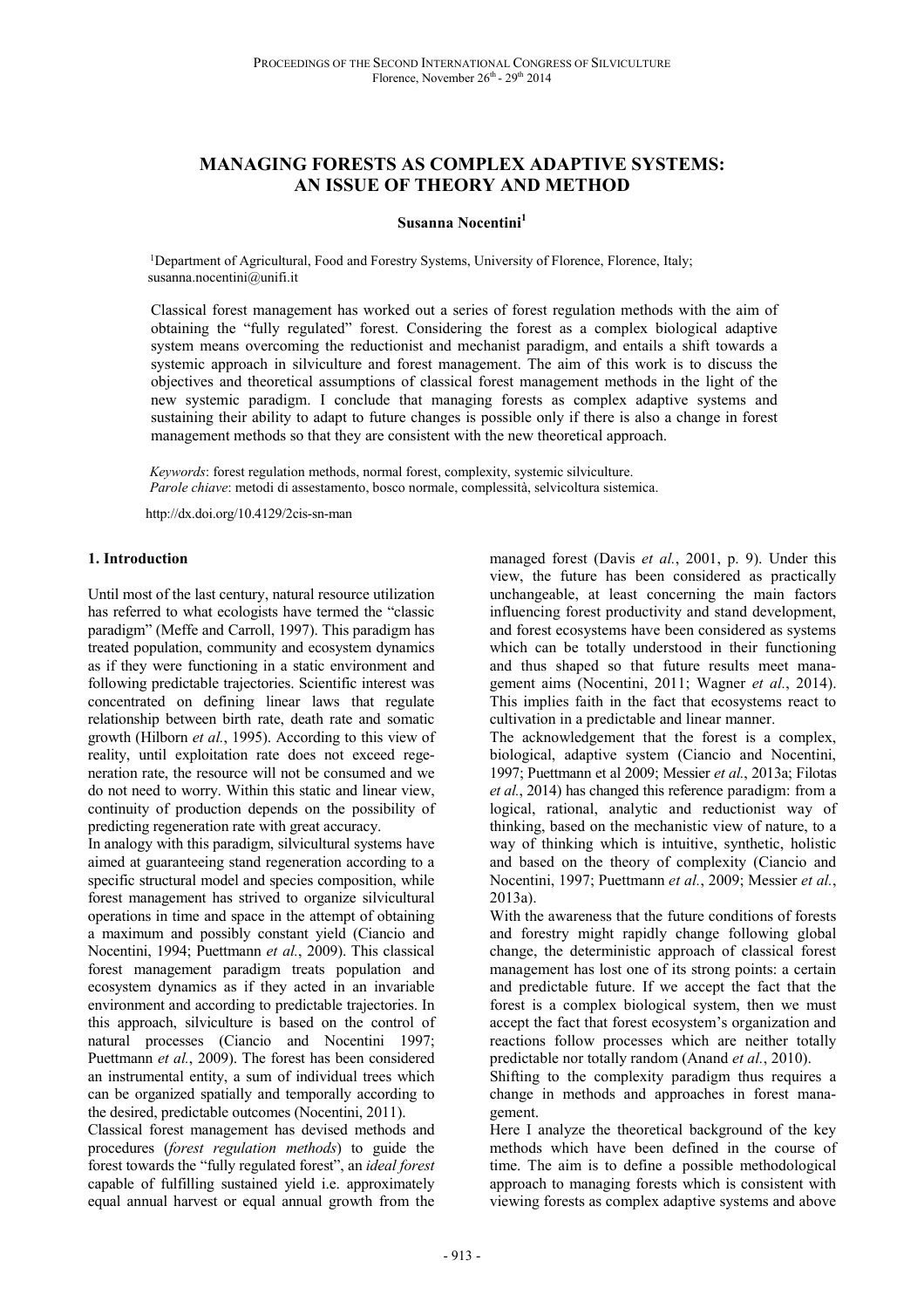# **MANAGING FORESTS AS COMPLEX ADAPTIVE SYSTEMS: AN ISSUE OF THEORY AND METHOD**

#### **Susanna Nocentini<sup>1</sup>**

<sup>1</sup>Department of Agricultural, Food and Forestry Systems, University of Florence, Florence, Italy; susanna.nocentini@unifi.it

Classical forest management has worked out a series of forest regulation methods with the aim of obtaining the "fully regulated" forest. Considering the forest as a complex biological adaptive system means overcoming the reductionist and mechanist paradigm, and entails a shift towards a systemic approach in silviculture and forest management. The aim of this work is to discuss the objectives and theoretical assumptions of classical forest management methods in the light of the new systemic paradigm. I conclude that managing forests as complex adaptive systems and sustaining their ability to adapt to future changes is possible only if there is also a change in forest management methods so that they are consistent with the new theoretical approach.

*Keywords*: forest regulation methods, normal forest, complexity, systemic silviculture. *Parole chiave*: metodi di assestamento, bosco normale, complessità, selvicoltura sistemica.

http://dx.doi.org/10.4129/2cis-sn-man

#### **1. Introduction**

Until most of the last century, natural resource utilization has referred to what ecologists have termed the "classic paradigm" (Meffe and Carroll, 1997). This paradigm has treated population, community and ecosystem dynamics as if they were functioning in a static environment and following predictable trajectories. Scientific interest was concentrated on defining linear laws that regulate relationship between birth rate, death rate and somatic growth (Hilborn *et al.*, 1995). According to this view of reality, until exploitation rate does not exceed regeneration rate, the resource will not be consumed and we do not need to worry. Within this static and linear view, continuity of production depends on the possibility of predicting regeneration rate with great accuracy.

In analogy with this paradigm, silvicultural systems have aimed at guaranteeing stand regeneration according to a specific structural model and species composition, while forest management has strived to organize silvicultural operations in time and space in the attempt of obtaining a maximum and possibly constant yield (Ciancio and Nocentini, 1994; Puettmann *et al.*, 2009). This classical forest management paradigm treats population and ecosystem dynamics as if they acted in an invariable environment and according to predictable trajectories. In this approach, silviculture is based on the control of natural processes (Ciancio and Nocentini 1997; Puettmann *et al.*, 2009). The forest has been considered an instrumental entity, a sum of individual trees which can be organized spatially and temporally according to the desired, predictable outcomes (Nocentini, 2011).

Classical forest management has devised methods and procedures (*forest regulation methods*) to guide the forest towards the "fully regulated forest", an *ideal forest* capable of fulfilling sustained yield i.e. approximately equal annual harvest or equal annual growth from the

managed forest (Davis *et al.*, 2001, p. 9). Under this view, the future has been considered as practically unchangeable, at least concerning the main factors influencing forest productivity and stand development, and forest ecosystems have been considered as systems which can be totally understood in their functioning and thus shaped so that future results meet management aims (Nocentini, 2011; Wagner *et al.*, 2014). This implies faith in the fact that ecosystems react to cultivation in a predictable and linear manner.

The acknowledgement that the forest is a complex, biological, adaptive system (Ciancio and Nocentini, 1997; Puettmann et al 2009; Messier *et al.*, 2013a; Filotas *et al.*, 2014) has changed this reference paradigm: from a logical, rational, analytic and reductionist way of thinking, based on the mechanistic view of nature, to a way of thinking which is intuitive, synthetic, holistic and based on the theory of complexity (Ciancio and Nocentini, 1997; Puettmann *et al.*, 2009; Messier *et al.*, 2013a).

With the awareness that the future conditions of forests and forestry might rapidly change following global change, the deterministic approach of classical forest management has lost one of its strong points: a certain and predictable future. If we accept the fact that the forest is a complex biological system, then we must accept the fact that forest ecosystem's organization and reactions follow processes which are neither totally predictable nor totally random (Anand *et al.*, 2010).

Shifting to the complexity paradigm thus requires a change in methods and approaches in forest management.

Here I analyze the theoretical background of the key methods which have been defined in the course of time. The aim is to define a possible methodological approach to managing forests which is consistent with viewing forests as complex adaptive systems and above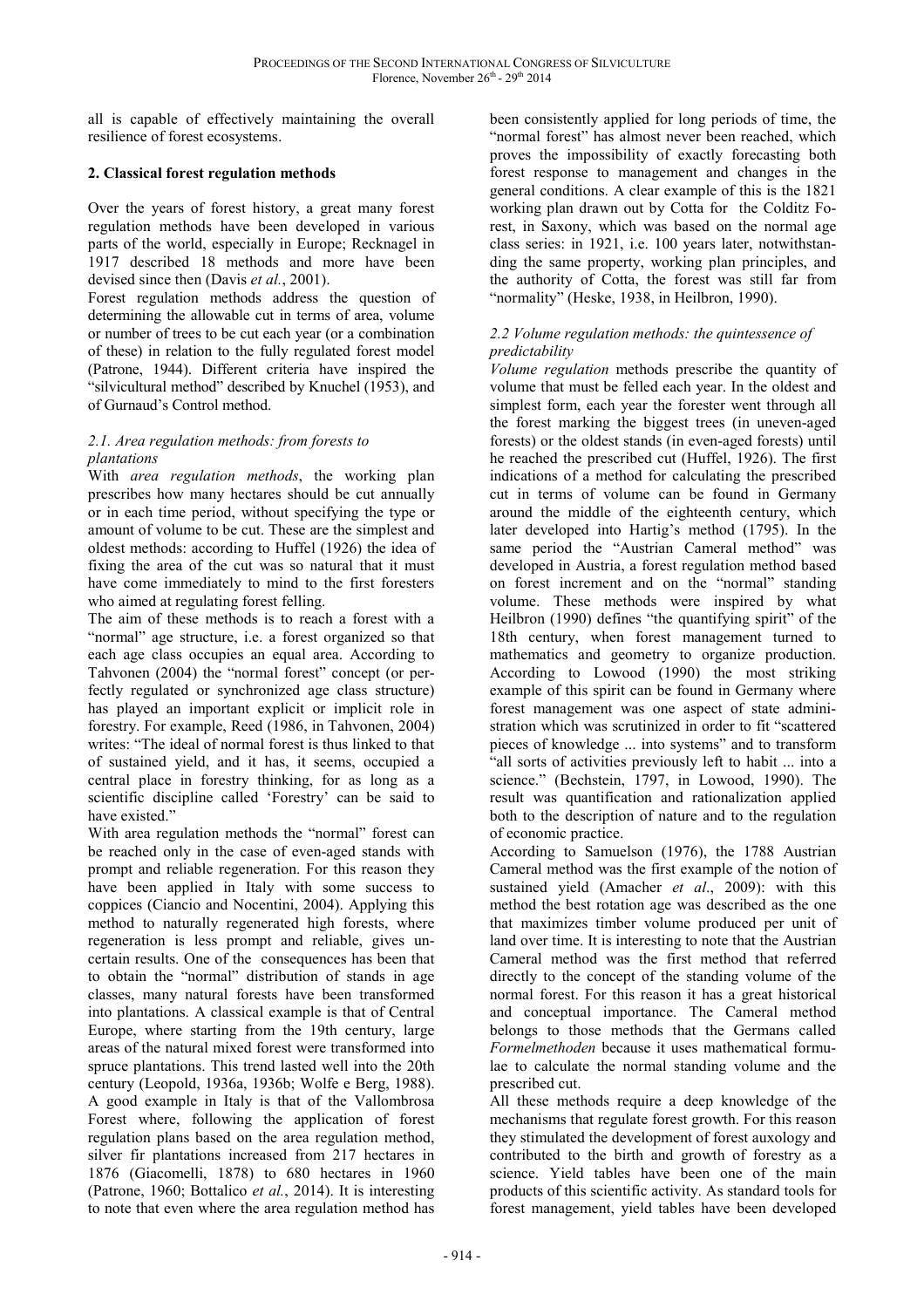all is capable of effectively maintaining the overall resilience of forest ecosystems.

# **2. Classical forest regulation methods**

Over the years of forest history, a great many forest regulation methods have been developed in various parts of the world, especially in Europe; Recknagel in 1917 described 18 methods and more have been devised since then (Davis *et al.*, 2001).

Forest regulation methods address the question of determining the allowable cut in terms of area, volume or number of trees to be cut each year (or a combination of these) in relation to the fully regulated forest model (Patrone, 1944). Different criteria have inspired the "silvicultural method" described by Knuchel (1953), and of Gurnaud's Control method.

# *2.1. Area regulation methods: from forests to plantations*

With *area regulation methods*, the working plan prescribes how many hectares should be cut annually or in each time period, without specifying the type or amount of volume to be cut. These are the simplest and oldest methods: according to Huffel (1926) the idea of fixing the area of the cut was so natural that it must have come immediately to mind to the first foresters who aimed at regulating forest felling.

The aim of these methods is to reach a forest with a "normal" age structure, i.e. a forest organized so that each age class occupies an equal area. According to Tahvonen (2004) the "normal forest" concept (or perfectly regulated or synchronized age class structure) has played an important explicit or implicit role in forestry. For example, Reed (1986, in Tahvonen, 2004) writes: "The ideal of normal forest is thus linked to that of sustained yield, and it has, it seems, occupied a central place in forestry thinking, for as long as a scientific discipline called 'Forestry' can be said to have existed."

With area regulation methods the "normal" forest can be reached only in the case of even-aged stands with prompt and reliable regeneration. For this reason they have been applied in Italy with some success to coppices (Ciancio and Nocentini, 2004). Applying this method to naturally regenerated high forests, where regeneration is less prompt and reliable, gives uncertain results. One of the consequences has been that to obtain the "normal" distribution of stands in age classes, many natural forests have been transformed into plantations. A classical example is that of Central Europe, where starting from the 19th century, large areas of the natural mixed forest were transformed into spruce plantations. This trend lasted well into the 20th century (Leopold, 1936a, 1936b; Wolfe e Berg, 1988). A good example in Italy is that of the Vallombrosa Forest where, following the application of forest regulation plans based on the area regulation method, silver fir plantations increased from 217 hectares in 1876 (Giacomelli, 1878) to 680 hectares in 1960 (Patrone, 1960; Bottalico *et al.*, 2014). It is interesting to note that even where the area regulation method has

been consistently applied for long periods of time, the "normal forest" has almost never been reached, which proves the impossibility of exactly forecasting both forest response to management and changes in the general conditions. A clear example of this is the 1821 working plan drawn out by Cotta for the Colditz Forest, in Saxony, which was based on the normal age class series: in 1921, i.e. 100 years later, notwithstanding the same property, working plan principles, and the authority of Cotta, the forest was still far from "normality" (Heske, 1938, in Heilbron, 1990).

### *2.2 Volume regulation methods: the quintessence of predictability*

*Volume regulation* methods prescribe the quantity of volume that must be felled each year. In the oldest and simplest form, each year the forester went through all the forest marking the biggest trees (in uneven-aged forests) or the oldest stands (in even-aged forests) until he reached the prescribed cut (Huffel, 1926). The first indications of a method for calculating the prescribed cut in terms of volume can be found in Germany around the middle of the eighteenth century, which later developed into Hartig's method (1795). In the same period the "Austrian Cameral method" was developed in Austria, a forest regulation method based on forest increment and on the "normal" standing volume. These methods were inspired by what Heilbron (1990) defines "the quantifying spirit" of the 18th century, when forest management turned to mathematics and geometry to organize production. According to Lowood (1990) the most striking example of this spirit can be found in Germany where forest management was one aspect of state administration which was scrutinized in order to fit "scattered pieces of knowledge ... into systems" and to transform "all sorts of activities previously left to habit ... into a science." (Bechstein, 1797, in Lowood, 1990). The result was quantification and rationalization applied both to the description of nature and to the regulation of economic practice.

According to Samuelson (1976), the 1788 Austrian Cameral method was the first example of the notion of sustained yield (Amacher *et al*., 2009): with this method the best rotation age was described as the one that maximizes timber volume produced per unit of land over time. It is interesting to note that the Austrian Cameral method was the first method that referred directly to the concept of the standing volume of the normal forest. For this reason it has a great historical and conceptual importance. The Cameral method belongs to those methods that the Germans called *Formelmethoden* because it uses mathematical formulae to calculate the normal standing volume and the prescribed cut.

All these methods require a deep knowledge of the mechanisms that regulate forest growth. For this reason they stimulated the development of forest auxology and contributed to the birth and growth of forestry as a science. Yield tables have been one of the main products of this scientific activity. As standard tools for forest management, yield tables have been developed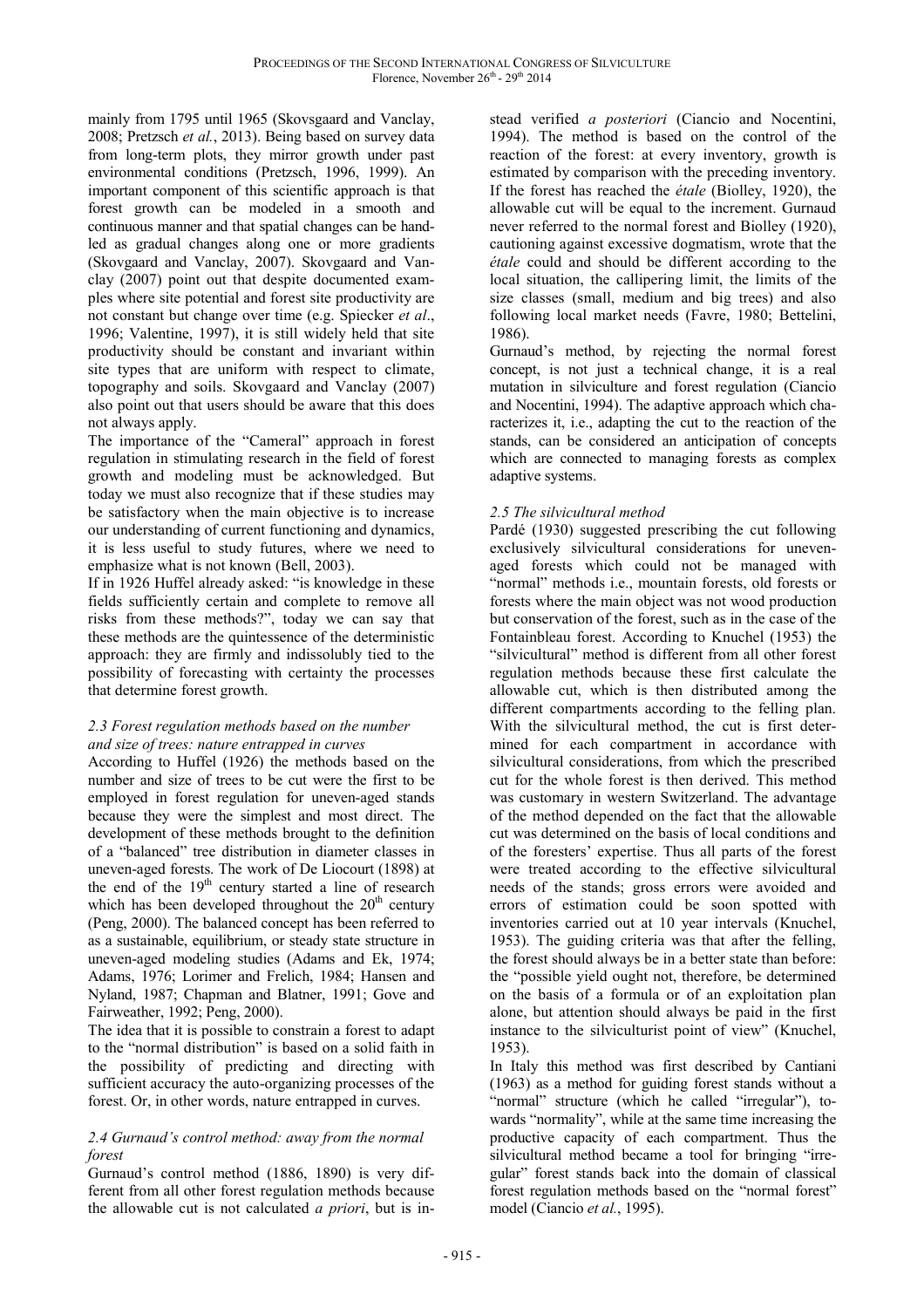mainly from 1795 until 1965 (Skovsgaard and Vanclay, 2008; Pretzsch *et al.*, 2013). Being based on survey data from long-term plots, they mirror growth under past environmental conditions (Pretzsch, 1996, 1999). An important component of this scientific approach is that forest growth can be modeled in a smooth and continuous manner and that spatial changes can be handled as gradual changes along one or more gradients (Skovgaard and Vanclay, 2007). Skovgaard and Vanclay (2007) point out that despite documented examples where site potential and forest site productivity are not constant but change over time (e.g. Spiecker *et al*., 1996; Valentine, 1997), it is still widely held that site productivity should be constant and invariant within site types that are uniform with respect to climate, topography and soils. Skovgaard and Vanclay (2007) also point out that users should be aware that this does not always apply.

The importance of the "Cameral" approach in forest regulation in stimulating research in the field of forest growth and modeling must be acknowledged. But today we must also recognize that if these studies may be satisfactory when the main objective is to increase our understanding of current functioning and dynamics, it is less useful to study futures, where we need to emphasize what is not known (Bell, 2003).

If in 1926 Huffel already asked: "is knowledge in these fields sufficiently certain and complete to remove all risks from these methods?", today we can say that these methods are the quintessence of the deterministic approach: they are firmly and indissolubly tied to the possibility of forecasting with certainty the processes that determine forest growth.

### *2.3 Forest regulation methods based on the number and size of trees: nature entrapped in curves*

According to Huffel (1926) the methods based on the number and size of trees to be cut were the first to be employed in forest regulation for uneven-aged stands because they were the simplest and most direct. The development of these methods brought to the definition of a "balanced" tree distribution in diameter classes in uneven-aged forests. The work of De Liocourt (1898) at the end of the 19<sup>th</sup> century started a line of research which has been developed throughout the  $20<sup>th</sup>$  century (Peng, 2000). The balanced concept has been referred to as a sustainable, equilibrium, or steady state structure in uneven-aged modeling studies (Adams and Ek, 1974; Adams, 1976; Lorimer and Frelich, 1984; Hansen and Nyland, 1987; Chapman and Blatner, 1991; Gove and Fairweather, 1992; Peng, 2000).

The idea that it is possible to constrain a forest to adapt to the "normal distribution" is based on a solid faith in the possibility of predicting and directing with sufficient accuracy the auto-organizing processes of the forest. Or, in other words, nature entrapped in curves.

### *2.4 Gurnaud's control method: away from the normal forest*

Gurnaud's control method (1886, 1890) is very different from all other forest regulation methods because the allowable cut is not calculated *a priori*, but is instead verified *a posteriori* (Ciancio and Nocentini, 1994). The method is based on the control of the reaction of the forest: at every inventory, growth is estimated by comparison with the preceding inventory. If the forest has reached the *étale* (Biolley, 1920), the allowable cut will be equal to the increment. Gurnaud never referred to the normal forest and Biolley (1920), cautioning against excessive dogmatism, wrote that the *étale* could and should be different according to the local situation, the callipering limit, the limits of the size classes (small, medium and big trees) and also following local market needs (Favre, 1980; Bettelini, 1986).

Gurnaud's method, by rejecting the normal forest concept, is not just a technical change, it is a real mutation in silviculture and forest regulation (Ciancio and Nocentini, 1994). The adaptive approach which characterizes it, i.e., adapting the cut to the reaction of the stands, can be considered an anticipation of concepts which are connected to managing forests as complex adaptive systems.

# *2.5 The silvicultural method*

Pardé (1930) suggested prescribing the cut following exclusively silvicultural considerations for unevenaged forests which could not be managed with "normal" methods i.e., mountain forests, old forests or forests where the main object was not wood production but conservation of the forest, such as in the case of the Fontainbleau forest. According to Knuchel (1953) the "silvicultural" method is different from all other forest regulation methods because these first calculate the allowable cut, which is then distributed among the different compartments according to the felling plan. With the silvicultural method, the cut is first determined for each compartment in accordance with silvicultural considerations, from which the prescribed cut for the whole forest is then derived. This method was customary in western Switzerland. The advantage of the method depended on the fact that the allowable cut was determined on the basis of local conditions and of the foresters' expertise. Thus all parts of the forest were treated according to the effective silvicultural needs of the stands; gross errors were avoided and errors of estimation could be soon spotted with inventories carried out at 10 year intervals (Knuchel, 1953). The guiding criteria was that after the felling, the forest should always be in a better state than before: the "possible yield ought not, therefore, be determined on the basis of a formula or of an exploitation plan alone, but attention should always be paid in the first instance to the silviculturist point of view" (Knuchel, 1953).

In Italy this method was first described by Cantiani (1963) as a method for guiding forest stands without a "normal" structure (which he called "irregular"), towards "normality", while at the same time increasing the productive capacity of each compartment. Thus the silvicultural method became a tool for bringing "irregular" forest stands back into the domain of classical forest regulation methods based on the "normal forest" model (Ciancio *et al.*, 1995).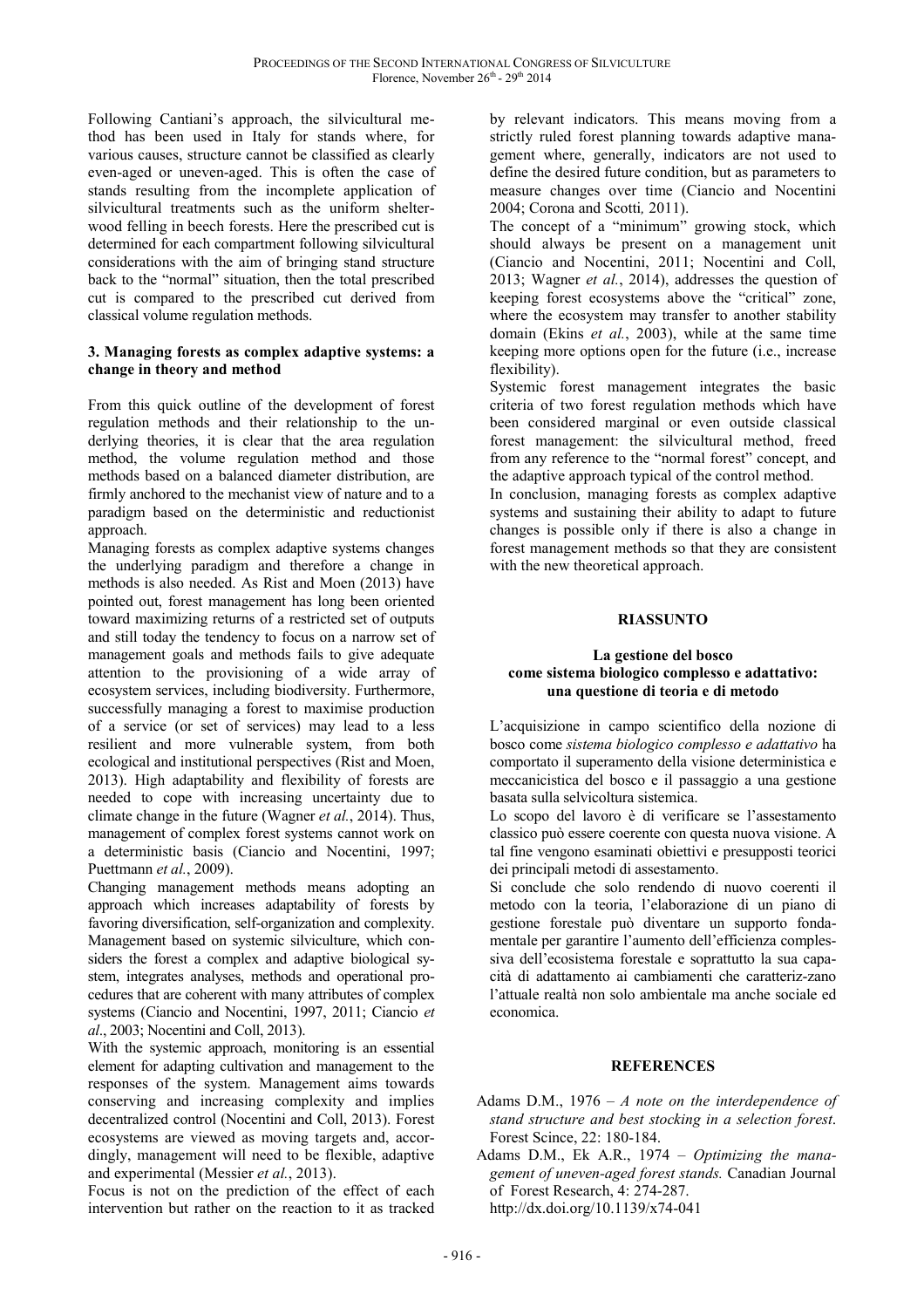Following Cantiani's approach, the silvicultural method has been used in Italy for stands where, for various causes, structure cannot be classified as clearly even-aged or uneven-aged. This is often the case of stands resulting from the incomplete application of silvicultural treatments such as the uniform shelterwood felling in beech forests. Here the prescribed cut is determined for each compartment following silvicultural considerations with the aim of bringing stand structure back to the "normal" situation, then the total prescribed cut is compared to the prescribed cut derived from classical volume regulation methods.

#### **3. Managing forests as complex adaptive systems: a change in theory and method**

From this quick outline of the development of forest regulation methods and their relationship to the underlying theories, it is clear that the area regulation method, the volume regulation method and those methods based on a balanced diameter distribution, are firmly anchored to the mechanist view of nature and to a paradigm based on the deterministic and reductionist approach.

Managing forests as complex adaptive systems changes the underlying paradigm and therefore a change in methods is also needed. As Rist and Moen (2013) have pointed out, forest management has long been oriented toward maximizing returns of a restricted set of outputs and still today the tendency to focus on a narrow set of management goals and methods fails to give adequate attention to the provisioning of a wide array of ecosystem services, including biodiversity. Furthermore, successfully managing a forest to maximise production of a service (or set of services) may lead to a less resilient and more vulnerable system, from both ecological and institutional perspectives (Rist and Moen, 2013). High adaptability and flexibility of forests are needed to cope with increasing uncertainty due to climate change in the future (Wagner *et al.*, 2014). Thus, management of complex forest systems cannot work on a deterministic basis (Ciancio and Nocentini, 1997; Puettmann *et al.*, 2009).

Changing management methods means adopting an approach which increases adaptability of forests by favoring diversification, self-organization and complexity. Management based on systemic silviculture, which considers the forest a complex and adaptive biological system, integrates analyses, methods and operational procedures that are coherent with many attributes of complex systems (Ciancio and Nocentini, 1997, 2011; Ciancio *et al*., 2003; Nocentini and Coll, 2013).

With the systemic approach, monitoring is an essential element for adapting cultivation and management to the responses of the system. Management aims towards conserving and increasing complexity and implies decentralized control (Nocentini and Coll, 2013). Forest ecosystems are viewed as moving targets and, accordingly, management will need to be flexible, adaptive and experimental (Messier *et al.*, 2013).

Focus is not on the prediction of the effect of each intervention but rather on the reaction to it as tracked

by relevant indicators. This means moving from a strictly ruled forest planning towards adaptive management where, generally, indicators are not used to define the desired future condition, but as parameters to measure changes over time (Ciancio and Nocentini 2004; Corona and Scotti*,* 2011).

The concept of a "minimum" growing stock, which should always be present on a management unit (Ciancio and Nocentini, 2011; Nocentini and Coll, 2013; Wagner *et al.*, 2014), addresses the question of keeping forest ecosystems above the "critical" zone, where the ecosystem may transfer to another stability domain (Ekins *et al.*, 2003), while at the same time keeping more options open for the future (i.e., increase flexibility).

Systemic forest management integrates the basic criteria of two forest regulation methods which have been considered marginal or even outside classical forest management: the silvicultural method, freed from any reference to the "normal forest" concept, and the adaptive approach typical of the control method.

In conclusion, managing forests as complex adaptive systems and sustaining their ability to adapt to future changes is possible only if there is also a change in forest management methods so that they are consistent with the new theoretical approach.

# **RIASSUNTO**

#### **La gestione del bosco come sistema biologico complesso e adattativo: una questione di teoria e di metodo**

L'acquisizione in campo scientifico della nozione di bosco come *sistema biologico complesso e adattativo* ha comportato il superamento della visione deterministica e meccanicistica del bosco e il passaggio a una gestione basata sulla selvicoltura sistemica.

Lo scopo del lavoro è di verificare se l'assestamento classico può essere coerente con questa nuova visione. A tal fine vengono esaminati obiettivi e presupposti teorici dei principali metodi di assestamento.

Si conclude che solo rendendo di nuovo coerenti il metodo con la teoria, l'elaborazione di un piano di gestione forestale può diventare un supporto fondamentale per garantire l'aumento dell'efficienza complessiva dell'ecosistema forestale e soprattutto la sua capacità di adattamento ai cambiamenti che caratteriz-zano l'attuale realtà non solo ambientale ma anche sociale ed economica.

#### **REFERENCES**

- Adams D.M., 1976 *A note on the interdependence of stand structure and best stocking in a selection forest*. Forest Scince, 22: 180-184.
- Adams D.M., Ek A.R., 1974 *Optimizing the management of uneven-aged forest stands.* Canadian Journal of Forest Research, 4: 274-287. http://dx.doi.org/10.1139/x74-041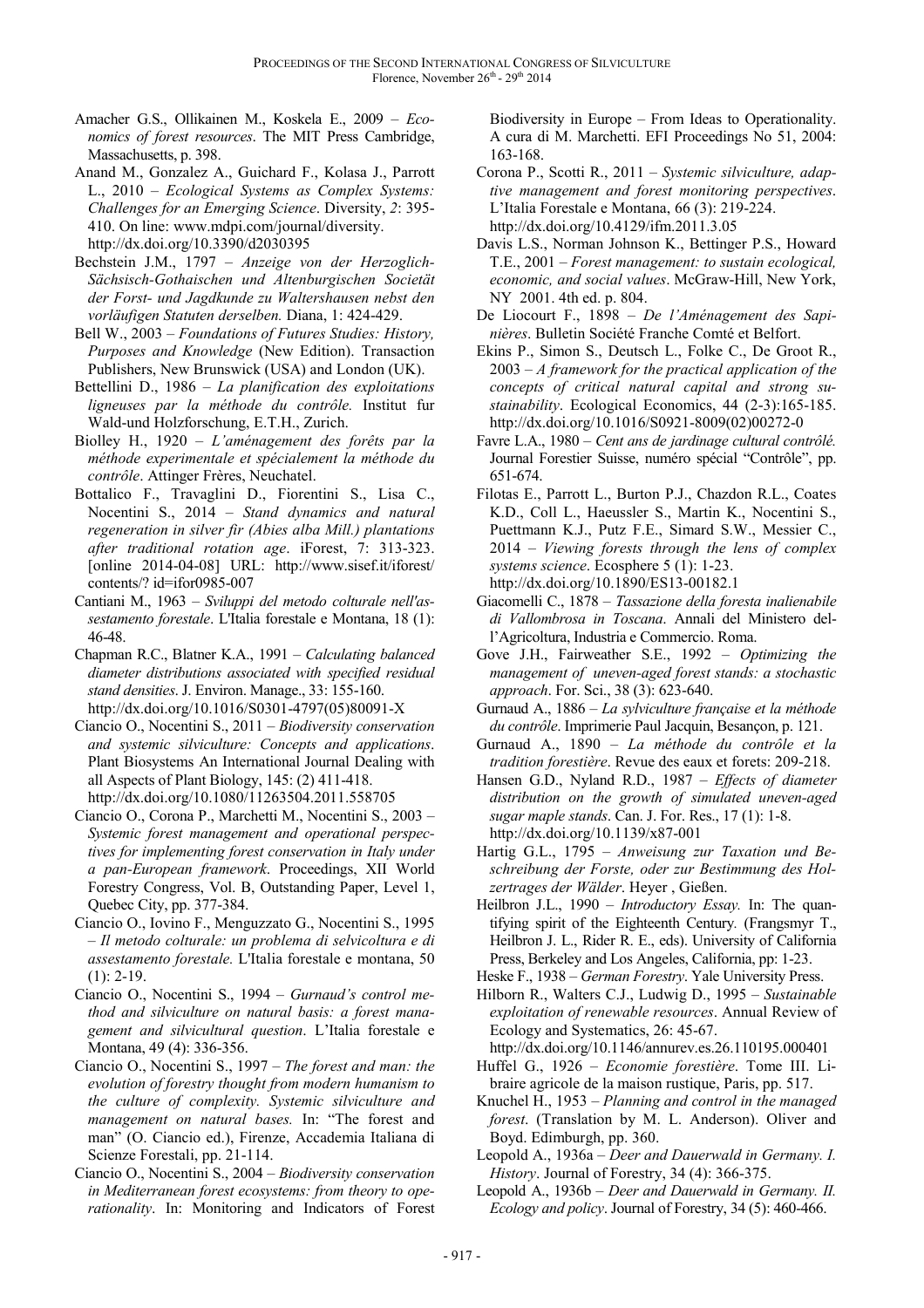- Amacher G.S., Ollikainen M., Koskela E., 2009 *Economics of forest resources*. The MIT Press Cambridge, Massachusetts, p. 398.
- Anand M., Gonzalez A., Guichard F., Kolasa J., Parrott L., 2010 – *Ecological Systems as Complex Systems: Challenges for an Emerging Science*. Diversity, *2*: 395- 410. On line: www.mdpi.com/journal/diversity. http://dx.doi.org/10.3390/d2030395
- Bechstein J.M., 1797 *Anzeige von der Herzoglich-Sächsisch-Gothaischen und Altenburgischen Societät der Forst- und Jagdkunde zu Waltershausen nebst den vorläufigen Statuten derselben.* Diana, 1: 424-429.
- Bell W., 2003 *Foundations of Futures Studies: History, Purposes and Knowledge* (New Edition). Transaction Publishers, New Brunswick (USA) and London (UK).
- Bettellini D., 1986 *La planification des exploitations ligneuses par la méthode du contrôle.* Institut fur Wald-und Holzforschung, E.T.H., Zurich.
- Biolley H., 1920 *L'aménagement des forêts par la méthode experimentale et spécialement la méthode du contrôle*. Attinger Frères, Neuchatel.
- Bottalico F., Travaglini D., Fiorentini S., Lisa C., Nocentini S., 2014 – *Stand dynamics and natural regeneration in silver fir (Abies alba Mill.) plantations after traditional rotation age*. iForest, 7: 313-323. [online 2014-04-08] URL: http://www.sisef.it/iforest/ contents/? id=ifor0985-007
- Cantiani M., 1963 *Sviluppi del metodo colturale nell'assestamento forestale*. L'Italia forestale e Montana, 18 (1): 46-48.
- Chapman R.C., Blatner K.A., 1991 *Calculating balanced diameter distributions associated with specified residual stand densities*. J. Environ. Manage., 33: 155-160. http://dx.doi.org/10.1016/S0301-4797(05)80091-X
- Ciancio O., Nocentini S., 2011 *Biodiversity conservation and systemic silviculture: Concepts and applications*. Plant Biosystems An International Journal Dealing with all Aspects of Plant Biology, 145: (2) 411-418. http://dx.doi.org/10.1080/11263504.2011.558705
- Ciancio O., Corona P., Marchetti M., Nocentini S., 2003 *Systemic forest management and operational perspectives for implementing forest conservation in Italy under a pan-European framework*. Proceedings, XII World Forestry Congress, Vol. B, Outstanding Paper, Level 1, Quebec City, pp. 377-384.
- Ciancio O., Iovino F., Menguzzato G., Nocentini S., 1995 – *Il metodo colturale: un problema di selvicoltura e di assestamento forestale.* L'Italia forestale e montana, 50  $(1): 2-19.$
- Ciancio O., Nocentini S., 1994 *Gurnaud's control method and silviculture on natural basis: a forest management and silvicultural question*. L'Italia forestale e Montana, 49 (4): 336-356.
- Ciancio O., Nocentini S., 1997 *The forest and man: the evolution of forestry thought from modern humanism to the culture of complexity. Systemic silviculture and management on natural bases.* In: "The forest and man" (O. Ciancio ed.), Firenze, Accademia Italiana di Scienze Forestali, pp. 21-114.
- Ciancio O., Nocentini S., 2004 *Biodiversity conservation in Mediterranean forest ecosystems: from theory to operationality*. In: Monitoring and Indicators of Forest

Biodiversity in Europe – From Ideas to Operationality. A cura di M. Marchetti. EFI Proceedings No 51, 2004: 163-168.

- Corona P., Scotti R., 2011 *Systemic silviculture, adaptive management and forest monitoring perspectives*. L'Italia Forestale e Montana, 66 (3): 219-224. http://dx.doi.org/10.4129/ifm.2011.3.05
- Davis L.S., Norman Johnson K., Bettinger P.S., Howard T.E., 2001 – *Forest management: to sustain ecological, economic, and social values*. McGraw-Hill, New York, NY 2001. 4th ed. p. 804.
- De Liocourt F., 1898 *De l'Aménagement des Sapinières*. Bulletin Société Franche Comté et Belfort.
- Ekins P., Simon S., Deutsch L., Folke C., De Groot R., 2003 – *A framework for the practical application of the concepts of critical natural capital and strong sustainability*. Ecological Economics, 44 (2-3):165-185. http://dx.doi.org/10.1016/S0921-8009(02)00272-0
- Favre L.A., 1980 *Cent ans de jardinage cultural contrôlé.*  Journal Forestier Suisse, numéro spécial "Contrôle", pp. 651-674.
- Filotas E., Parrott L., Burton P.J., Chazdon R.L., Coates K.D., Coll L., Haeussler S., Martin K., Nocentini S., Puettmann K.J., Putz F.E., Simard S.W., Messier C., 2014 – *Viewing forests through the lens of complex systems science*. Ecosphere 5 (1): 1-23. http://dx.doi.org/10.1890/ES13-00182.1
- Giacomelli C., 1878 *Tassazione della foresta inalienabile di Vallombrosa in Toscana*. Annali del Ministero dell'Agricoltura, Industria e Commercio. Roma.
- Gove J.H., Fairweather S.E., 1992 *Optimizing the management of uneven-aged forest stands: a stochastic approach*. For. Sci., 38 (3): 623-640.
- Gurnaud A., 1886 *La sylviculture française et la méthode du contrôle*. Imprimerie Paul Jacquin, Besançon, p. 121.
- Gurnaud A., 1890 *La méthode du contrôle et la tradition forestière*. Revue des eaux et forets: 209-218.
- Hansen G.D., Nyland R.D., 1987 *Effects of diameter distribution on the growth of simulated uneven-aged sugar maple stands*. Can. J. For. Res., 17 (1): 1-8. http://dx.doi.org/10.1139/x87-001
- Hartig G.L., 1795 *Anweisung zur Taxation und Beschreibung der Forste, oder zur Bestimmung des Holzertrages der Wälder*. Heyer , Gießen.
- Heilbron J.L., 1990 *Introductory Essay.* In: The quantifying spirit of the Eighteenth Century*.* (Frangsmyr T., Heilbron J. L., Rider R. E., eds). University of California Press, Berkeley and Los Angeles, California, pp: 1-23.
- Heske F., 1938 *German Forestry*. Yale University Press.
- Hilborn R., Walters C.J., Ludwig D., 1995 *Sustainable exploitation of renewable resources*. Annual Review of Ecology and Systematics, 26: 45-67.
- http://dx.doi.org/10.1146/annurev.es.26.110195.000401 Huffel G., 1926 – *Economie forestière*. Tome III. Li-
- braire agricole de la maison rustique, Paris, pp. 517. Knuchel H., 1953 – *Planning and control in the managed*
- *forest*. (Translation by M. L. Anderson). Oliver and Boyd. Edimburgh, pp. 360.
- Leopold A., 1936a *Deer and Dauerwald in Germany. I. History*. Journal of Forestry, 34 (4): 366-375.
- Leopold A., 1936b *Deer and Dauerwald in Germany. II. Ecology and policy*. Journal of Forestry, 34 (5): 460-466.